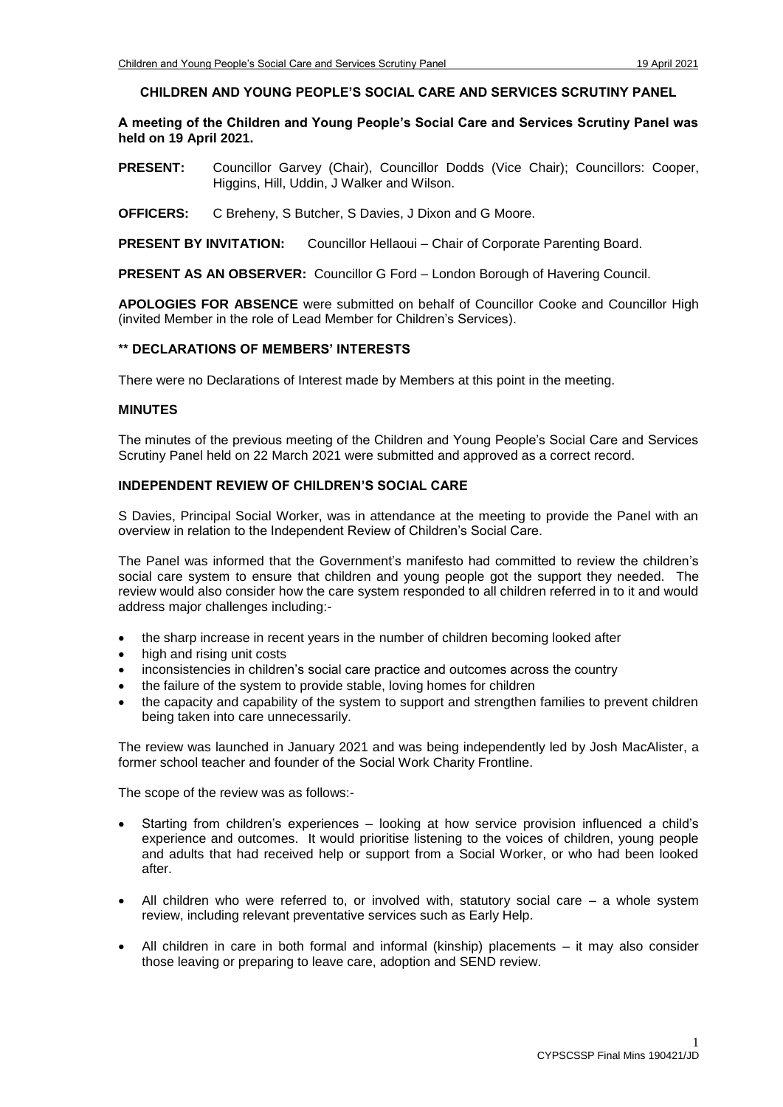#### **CHILDREN AND YOUNG PEOPLE'S SOCIAL CARE AND SERVICES SCRUTINY PANEL**

**A meeting of the Children and Young People's Social Care and Services Scrutiny Panel was held on 19 April 2021.**

**PRESENT:** Councillor Garvey (Chair), Councillor Dodds (Vice Chair); Councillors: Cooper, Higgins, Hill, Uddin, J Walker and Wilson.

**OFFICERS:** C Breheny, S Butcher, S Davies, J Dixon and G Moore.

**PRESENT BY INVITATION:** Councillor Hellaoui – Chair of Corporate Parenting Board.

**PRESENT AS AN OBSERVER:** Councillor G Ford – London Borough of Havering Council.

**APOLOGIES FOR ABSENCE** were submitted on behalf of Councillor Cooke and Councillor High (invited Member in the role of Lead Member for Children's Services).

### **\*\* DECLARATIONS OF MEMBERS' INTERESTS**

There were no Declarations of Interest made by Members at this point in the meeting.

#### **MINUTES**

The minutes of the previous meeting of the Children and Young People's Social Care and Services Scrutiny Panel held on 22 March 2021 were submitted and approved as a correct record.

# **INDEPENDENT REVIEW OF CHILDREN'S SOCIAL CARE**

S Davies, Principal Social Worker, was in attendance at the meeting to provide the Panel with an overview in relation to the Independent Review of Children's Social Care.

The Panel was informed that the Government's manifesto had committed to review the children's social care system to ensure that children and young people got the support they needed. The review would also consider how the care system responded to all children referred in to it and would address major challenges including:-

- the sharp increase in recent years in the number of children becoming looked after
- high and rising unit costs
- inconsistencies in children's social care practice and outcomes across the country
- the failure of the system to provide stable, loving homes for children
- the capacity and capability of the system to support and strengthen families to prevent children being taken into care unnecessarily.

The review was launched in January 2021 and was being independently led by Josh MacAlister, a former school teacher and founder of the Social Work Charity Frontline.

The scope of the review was as follows:-

- Starting from children's experiences looking at how service provision influenced a child's experience and outcomes. It would prioritise listening to the voices of children, young people and adults that had received help or support from a Social Worker, or who had been looked after.
- All children who were referred to, or involved with, statutory social care a whole system review, including relevant preventative services such as Early Help.
- All children in care in both formal and informal (kinship) placements it may also consider those leaving or preparing to leave care, adoption and SEND review.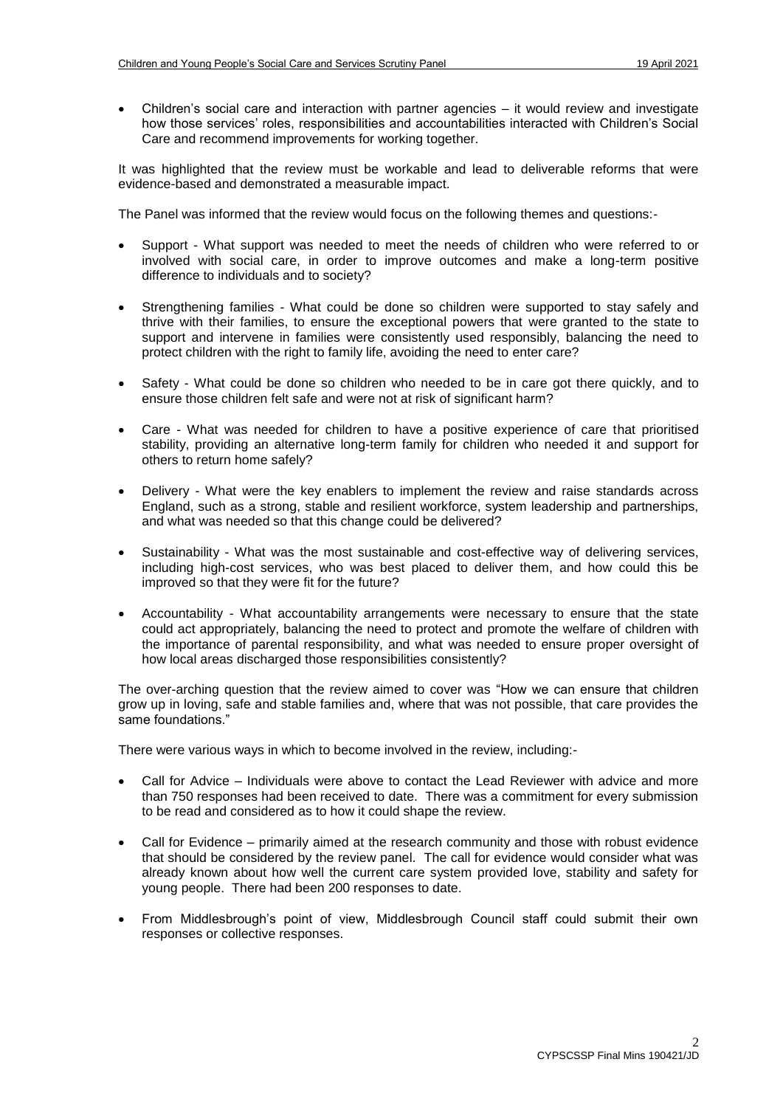Children's social care and interaction with partner agencies – it would review and investigate how those services' roles, responsibilities and accountabilities interacted with Children's Social Care and recommend improvements for working together.

It was highlighted that the review must be workable and lead to deliverable reforms that were evidence-based and demonstrated a measurable impact.

The Panel was informed that the review would focus on the following themes and questions:-

- Support What support was needed to meet the needs of children who were referred to or involved with social care, in order to improve outcomes and make a long-term positive difference to individuals and to society?
- Strengthening families What could be done so children were supported to stay safely and thrive with their families, to ensure the exceptional powers that were granted to the state to support and intervene in families were consistently used responsibly, balancing the need to protect children with the right to family life, avoiding the need to enter care?
- Safety What could be done so children who needed to be in care got there quickly, and to ensure those children felt safe and were not at risk of significant harm?
- Care What was needed for children to have a positive experience of care that prioritised stability, providing an alternative long-term family for children who needed it and support for others to return home safely?
- Delivery What were the key enablers to implement the review and raise standards across England, such as a strong, stable and resilient workforce, system leadership and partnerships, and what was needed so that this change could be delivered?
- Sustainability What was the most sustainable and cost-effective way of delivering services, including high-cost services, who was best placed to deliver them, and how could this be improved so that they were fit for the future?
- Accountability What accountability arrangements were necessary to ensure that the state could act appropriately, balancing the need to protect and promote the welfare of children with the importance of parental responsibility, and what was needed to ensure proper oversight of how local areas discharged those responsibilities consistently?

The over-arching question that the review aimed to cover was "How we can ensure that children grow up in loving, safe and stable families and, where that was not possible, that care provides the same foundations."

There were various ways in which to become involved in the review, including:-

- Call for Advice Individuals were above to contact the Lead Reviewer with advice and more than 750 responses had been received to date. There was a commitment for every submission to be read and considered as to how it could shape the review.
- Call for Evidence primarily aimed at the research community and those with robust evidence that should be considered by the review panel. The call for evidence would consider what was already known about how well the current care system provided love, stability and safety for young people. There had been 200 responses to date.
- From Middlesbrough's point of view, Middlesbrough Council staff could submit their own responses or collective responses.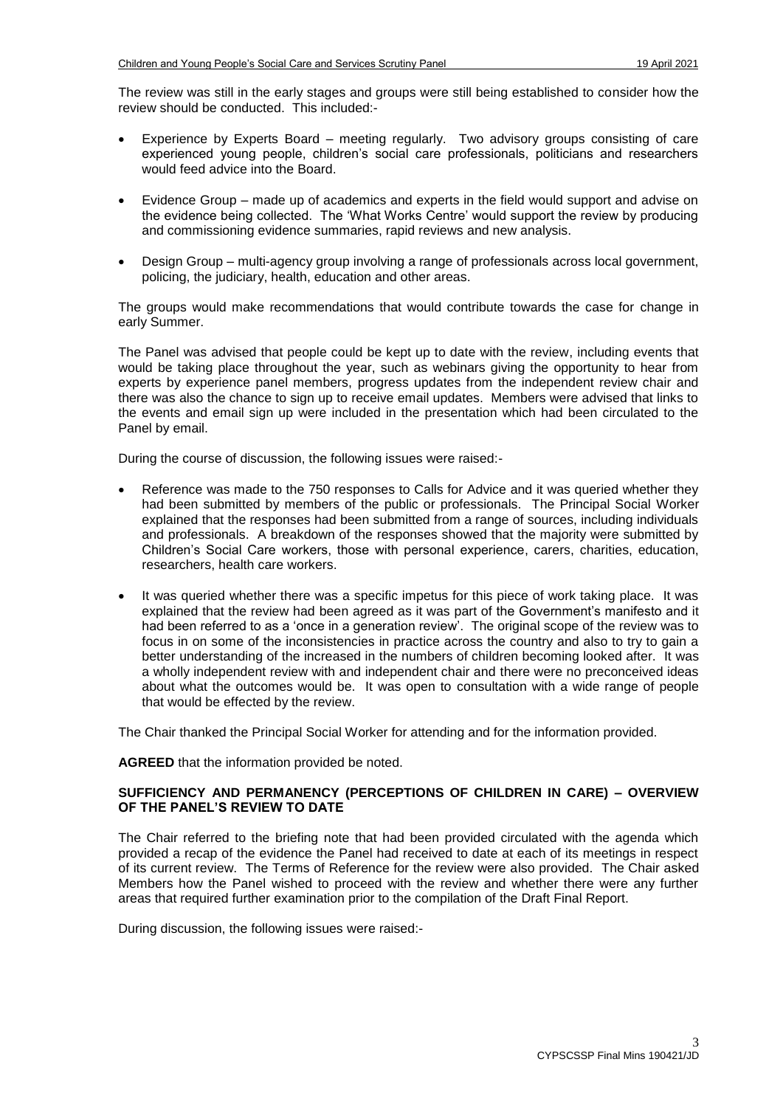The review was still in the early stages and groups were still being established to consider how the review should be conducted. This included:-

- Experience by Experts Board meeting regularly. Two advisory groups consisting of care experienced young people, children's social care professionals, politicians and researchers would feed advice into the Board.
- Evidence Group made up of academics and experts in the field would support and advise on the evidence being collected. The 'What Works Centre' would support the review by producing and commissioning evidence summaries, rapid reviews and new analysis.
- Design Group multi-agency group involving a range of professionals across local government, policing, the judiciary, health, education and other areas.

The groups would make recommendations that would contribute towards the case for change in early Summer.

The Panel was advised that people could be kept up to date with the review, including events that would be taking place throughout the year, such as webinars giving the opportunity to hear from experts by experience panel members, progress updates from the independent review chair and there was also the chance to sign up to receive email updates. Members were advised that links to the events and email sign up were included in the presentation which had been circulated to the Panel by email.

During the course of discussion, the following issues were raised:-

- Reference was made to the 750 responses to Calls for Advice and it was queried whether they had been submitted by members of the public or professionals. The Principal Social Worker explained that the responses had been submitted from a range of sources, including individuals and professionals. A breakdown of the responses showed that the majority were submitted by Children's Social Care workers, those with personal experience, carers, charities, education, researchers, health care workers.
- It was queried whether there was a specific impetus for this piece of work taking place. It was explained that the review had been agreed as it was part of the Government's manifesto and it had been referred to as a 'once in a generation review'. The original scope of the review was to focus in on some of the inconsistencies in practice across the country and also to try to gain a better understanding of the increased in the numbers of children becoming looked after. It was a wholly independent review with and independent chair and there were no preconceived ideas about what the outcomes would be. It was open to consultation with a wide range of people that would be effected by the review.

The Chair thanked the Principal Social Worker for attending and for the information provided.

**AGREED** that the information provided be noted.

## **SUFFICIENCY AND PERMANENCY (PERCEPTIONS OF CHILDREN IN CARE) – OVERVIEW OF THE PANEL'S REVIEW TO DATE**

The Chair referred to the briefing note that had been provided circulated with the agenda which provided a recap of the evidence the Panel had received to date at each of its meetings in respect of its current review. The Terms of Reference for the review were also provided. The Chair asked Members how the Panel wished to proceed with the review and whether there were any further areas that required further examination prior to the compilation of the Draft Final Report.

During discussion, the following issues were raised:-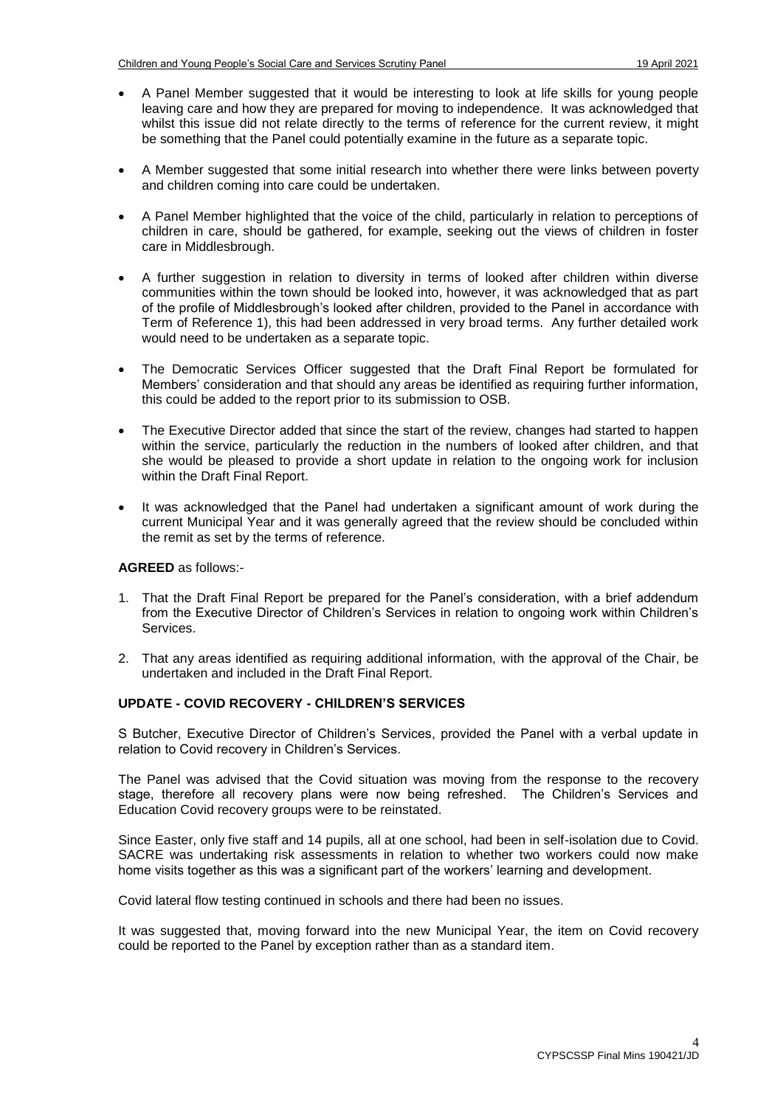- A Panel Member suggested that it would be interesting to look at life skills for young people leaving care and how they are prepared for moving to independence. It was acknowledged that whilst this issue did not relate directly to the terms of reference for the current review, it might be something that the Panel could potentially examine in the future as a separate topic.
- A Member suggested that some initial research into whether there were links between poverty and children coming into care could be undertaken.
- A Panel Member highlighted that the voice of the child, particularly in relation to perceptions of children in care, should be gathered, for example, seeking out the views of children in foster care in Middlesbrough.
- A further suggestion in relation to diversity in terms of looked after children within diverse communities within the town should be looked into, however, it was acknowledged that as part of the profile of Middlesbrough's looked after children, provided to the Panel in accordance with Term of Reference 1), this had been addressed in very broad terms. Any further detailed work would need to be undertaken as a separate topic.
- The Democratic Services Officer suggested that the Draft Final Report be formulated for Members' consideration and that should any areas be identified as requiring further information, this could be added to the report prior to its submission to OSB.
- The Executive Director added that since the start of the review, changes had started to happen within the service, particularly the reduction in the numbers of looked after children, and that she would be pleased to provide a short update in relation to the ongoing work for inclusion within the Draft Final Report.
- It was acknowledged that the Panel had undertaken a significant amount of work during the current Municipal Year and it was generally agreed that the review should be concluded within the remit as set by the terms of reference.

**AGREED** as follows:-

- 1. That the Draft Final Report be prepared for the Panel's consideration, with a brief addendum from the Executive Director of Children's Services in relation to ongoing work within Children's **Services**
- 2. That any areas identified as requiring additional information, with the approval of the Chair, be undertaken and included in the Draft Final Report.

## **UPDATE - COVID RECOVERY - CHILDREN'S SERVICES**

S Butcher, Executive Director of Children's Services, provided the Panel with a verbal update in relation to Covid recovery in Children's Services.

The Panel was advised that the Covid situation was moving from the response to the recovery stage, therefore all recovery plans were now being refreshed. The Children's Services and Education Covid recovery groups were to be reinstated.

Since Easter, only five staff and 14 pupils, all at one school, had been in self-isolation due to Covid. SACRE was undertaking risk assessments in relation to whether two workers could now make home visits together as this was a significant part of the workers' learning and development.

Covid lateral flow testing continued in schools and there had been no issues.

It was suggested that, moving forward into the new Municipal Year, the item on Covid recovery could be reported to the Panel by exception rather than as a standard item.